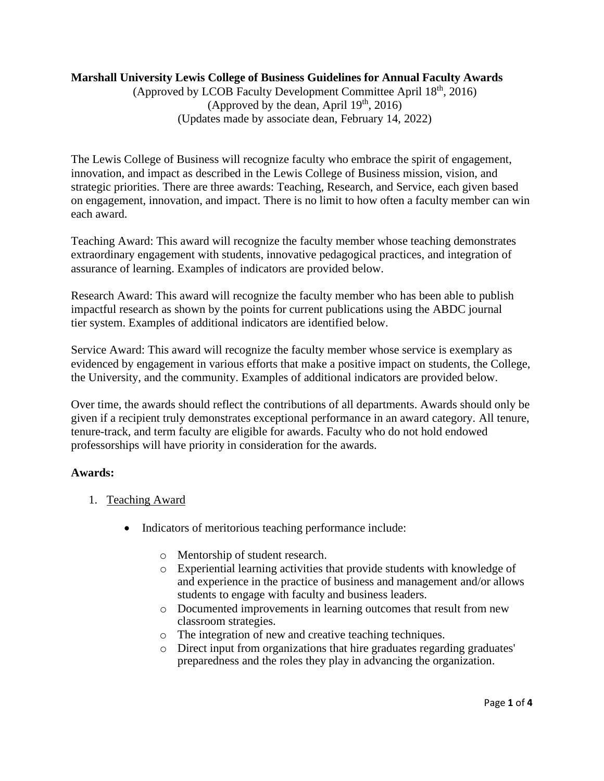## **Marshall University Lewis College of Business Guidelines for Annual Faculty Awards**

(Approved by LCOB Faculty Development Committee April  $18<sup>th</sup>$ , 2016) (Approved by the dean, April  $19<sup>th</sup>$ , 2016) (Updates made by associate dean, February 14, 2022)

The Lewis College of Business will recognize faculty who embrace the spirit of engagement, innovation, and impact as described in the Lewis College of Business mission, vision, and strategic priorities. There are three awards: Teaching, Research, and Service, each given based on engagement, innovation, and impact. There is no limit to how often a faculty member can win each award.

Teaching Award: This award will recognize the faculty member whose teaching demonstrates extraordinary engagement with students, innovative pedagogical practices, and integration of assurance of learning. Examples of indicators are provided below.

Research Award: This award will recognize the faculty member who has been able to publish impactful research as shown by the points for current publications using the ABDC journal tier system. Examples of additional indicators are identified below.

Service Award: This award will recognize the faculty member whose service is exemplary as evidenced by engagement in various efforts that make a positive impact on students, the College, the University, and the community. Examples of additional indicators are provided below.

Over time, the awards should reflect the contributions of all departments. Awards should only be given if a recipient truly demonstrates exceptional performance in an award category. All tenure, tenure-track, and term faculty are eligible for awards. Faculty who do not hold endowed professorships will have priority in consideration for the awards.

#### **Awards:**

- 1. Teaching Award
	- Indicators of meritorious teaching performance include:
		- o Mentorship of student research.
		- o Experiential learning activities that provide students with knowledge of and experience in the practice of business and management and/or allows students to engage with faculty and business leaders.
		- o Documented improvements in learning outcomes that result from new classroom strategies.
		- o The integration of new and creative teaching techniques.
		- o Direct input from organizations that hire graduates regarding graduates' preparedness and the roles they play in advancing the organization.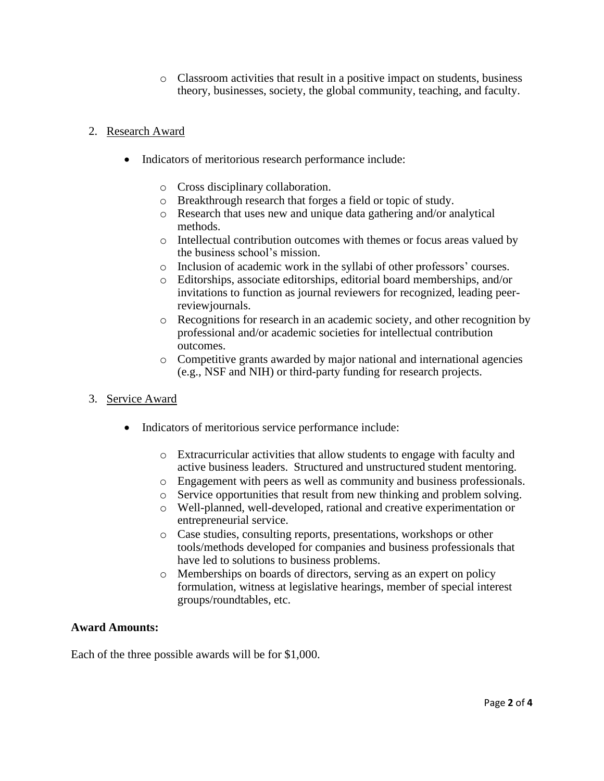o Classroom activities that result in a positive impact on students, business theory, businesses, society, the global community, teaching, and faculty.

### 2. Research Award

- Indicators of meritorious research performance include:
	- o Cross disciplinary collaboration.
	- o Breakthrough research that forges a field or topic of study.
	- o Research that uses new and unique data gathering and/or analytical methods.
	- o Intellectual contribution outcomes with themes or focus areas valued by the business school's mission.
	- o Inclusion of academic work in the syllabi of other professors' courses.
	- o Editorships, associate editorships, editorial board memberships, and/or invitations to function as journal reviewers for recognized, leading peerreviewjournals.
	- o Recognitions for research in an academic society, and other recognition by professional and/or academic societies for intellectual contribution outcomes.
	- o Competitive grants awarded by major national and international agencies (e.g., NSF and NIH) or third-party funding for research projects.
- 3. Service Award
	- Indicators of meritorious service performance include:
		- o Extracurricular activities that allow students to engage with faculty and active business leaders. Structured and unstructured student mentoring.
		- o Engagement with peers as well as community and business professionals.
		- o Service opportunities that result from new thinking and problem solving.
		- o Well-planned, well-developed, rational and creative experimentation or entrepreneurial service.
		- o Case studies, consulting reports, presentations, workshops or other tools/methods developed for companies and business professionals that have led to solutions to business problems.
		- o Memberships on boards of directors, serving as an expert on policy formulation, witness at legislative hearings, member of special interest groups/roundtables, etc.

#### **Award Amounts:**

Each of the three possible awards will be for \$1,000.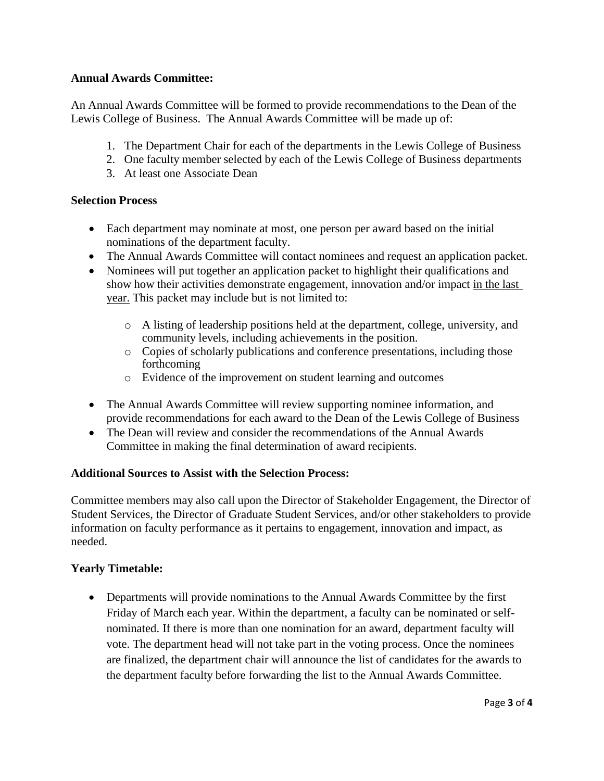## **Annual Awards Committee:**

An Annual Awards Committee will be formed to provide recommendations to the Dean of the Lewis College of Business. The Annual Awards Committee will be made up of:

- 1. The Department Chair for each of the departments in the Lewis College of Business
- 2. One faculty member selected by each of the Lewis College of Business departments
- 3. At least one Associate Dean

## **Selection Process**

- Each department may nominate at most, one person per award based on the initial nominations of the department faculty.
- The Annual Awards Committee will contact nominees and request an application packet.
- Nominees will put together an application packet to highlight their qualifications and show how their activities demonstrate engagement, innovation and/or impact in the last year. This packet may include but is not limited to:
	- o A listing of leadership positions held at the department, college, university, and community levels, including achievements in the position.
	- o Copies of scholarly publications and conference presentations, including those forthcoming
	- o Evidence of the improvement on student learning and outcomes
- The Annual Awards Committee will review supporting nominee information, and provide recommendations for each award to the Dean of the Lewis College of Business
- The Dean will review and consider the recommendations of the Annual Awards Committee in making the final determination of award recipients.

## **Additional Sources to Assist with the Selection Process:**

Committee members may also call upon the Director of Stakeholder Engagement, the Director of Student Services, the Director of Graduate Student Services, and/or other stakeholders to provide information on faculty performance as it pertains to engagement, innovation and impact, as needed.

# **Yearly Timetable:**

• Departments will provide nominations to the Annual Awards Committee by the first Friday of March each year. Within the department, a faculty can be nominated or selfnominated. If there is more than one nomination for an award, department faculty will vote. The department head will not take part in the voting process. Once the nominees are finalized, the department chair will announce the list of candidates for the awards to the department faculty before forwarding the list to the Annual Awards Committee.